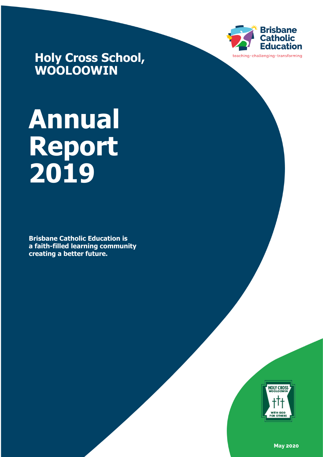

**Holy Cross School, WOOLOOWIN**

# **Annual Report 2019**

**Brisbane Catholic Education is a faith-filled learning community creating a better future.**



**May 2020**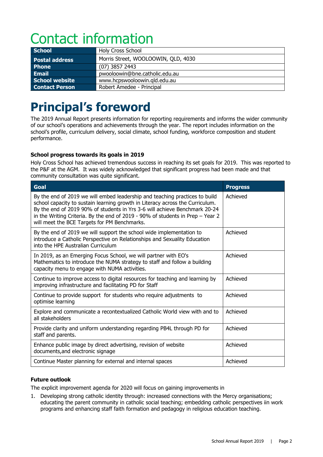## Contact information

| School                | <b>Holy Cross School</b>            |
|-----------------------|-------------------------------------|
| <b>Postal address</b> | Morris Street, WOOLOOWIN, QLD, 4030 |
| <b>Phone</b>          | $(07)$ 3857 2443                    |
| Email                 | pwooloowin@bne.catholic.edu.au      |
| School website        | www.hcpswooloowin.gld.edu.au        |
| <b>Contact Person</b> | Robert Amedee - Principal           |

### **Principal's foreword**

The 2019 Annual Report presents information for reporting requirements and informs the wider community of our school's operations and achievements through the year. The report includes information on the school's profile, curriculum delivery, social climate, school funding, workforce composition and student performance.

#### **School progress towards its goals in 2019**

Holy Cross School has achieved tremendous success in reaching its set goals for 2019. This was reported to the P&F at the AGM. It was widely acknowledged that significant progress had been made and that community consultation was quite significant.

| Goal                                                                                                                                                                                                                                                                                                                                                                         | <b>Progress</b> |
|------------------------------------------------------------------------------------------------------------------------------------------------------------------------------------------------------------------------------------------------------------------------------------------------------------------------------------------------------------------------------|-----------------|
| By the end of 2019 we will embed leadership and teaching practices to build<br>school capacity to sustain learning growth in Literacy across the Curriculum.<br>By the end of 2019 90% of students in Yrs 3-6 will achieve Benchmark 20-24<br>in the Writing Criteria. By the end of 2019 - 90% of students in Prep - Year 2<br>will meet the BCE Targets for PM Benchmarks. | Achieved        |
| By the end of 2019 we will support the school wide implementation to<br>introduce a Catholic Perspective on Relationships and Sexuality Education<br>into the HPE Australian Curriculum                                                                                                                                                                                      | Achieved        |
| In 2019, as an Emerging Focus School, we will partner with EO's<br>Mathematics to introduce the NUMA strategy to staff and follow a building<br>capacity menu to engage with NUMA activities.                                                                                                                                                                                | Achieved        |
| Continue to improve access to digital resources for teaching and learning by<br>improving infrastructure and facilitating PD for Staff                                                                                                                                                                                                                                       | Achieved        |
| Continue to provide support for students who require adjustments to<br>optimise learning                                                                                                                                                                                                                                                                                     | Achieved        |
| Explore and communicate a recontextualized Catholic World view with and to<br>all stakeholders                                                                                                                                                                                                                                                                               | Achieved        |
| Provide clarity and uniform understanding regarding PB4L through PD for<br>staff and parents.                                                                                                                                                                                                                                                                                | Achieved        |
| Enhance public image by direct advertising, revision of website<br>documents, and electronic signage                                                                                                                                                                                                                                                                         | Achieved        |
| Continue Master planning for external and internal spaces                                                                                                                                                                                                                                                                                                                    | Achieved        |

#### **Future outlook**

The explicit improvement agenda for 2020 will focus on gaining improvements in

1. Developing strong catholic identity through: increased connections with the Mercy organisations; educating the parent community in catholic social teaching; embedding catholic perspectives iin work programs and enhancing staff faith formation and pedagogy in religious education teaching.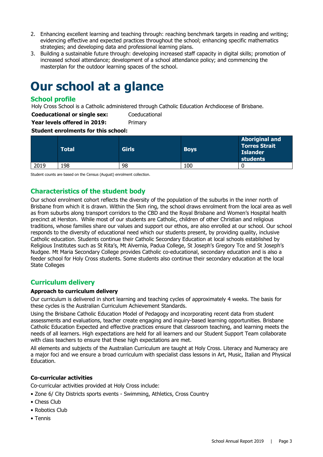- 2. Enhancing excellent learning and teaching through: reaching benchmark targets in reading and writing; evidencing effective and expected practices throughout the school; enhancing specific mathematics strategies; and developing data and professional learning plans.
- 3. Building a sustainable future through: developing increased staff capacity in digital skills; promotion of increased school attendance; development of a school attendance policy; and commencing the masterplan for the outdoor learning spaces of the school.

### **Our school at a glance**

#### **School profile**

Holy Cross School is a Catholic administered through Catholic Education Archdiocese of Brisbane.

**Coeducational or single sex:** Coeducational

**Year levels offered in 2019:** Primary

#### **Student enrolments for this school:**

|      | Total | <b>Girls</b> | <b>Boys</b> | <b>Aboriginal and</b><br><b>Torres Strait</b><br><b>Islander</b><br>students |
|------|-------|--------------|-------------|------------------------------------------------------------------------------|
| 2019 | 198   | 98           | 100         | ા                                                                            |

Student counts are based on the Census (August) enrolment collection.

#### **Characteristics of the student body**

Our school enrolment cohort reflects the diversity of the population of the suburbs in the inner north of Brisbane from which it is drawn. Within the 5km ring, the school draws enrolment from the local area as well as from suburbs along transport corridors to the CBD and the Royal Brisbane and Women's Hospital health precinct at Herston. While most of our students are Catholic, children of other Christian and religious traditions, whose families share our values and support our ethos, are also enrolled at our school. Our school responds to the diversity of educational need which our students present, by providing quality, inclusive Catholic education. Students continue their Catholic Secondary Education at local schools established by Religious Institutes such as St Rita's, Mt Alvernia, Padua College, St Joseph's Gregory Tce and St Joseph's Nudgee. Mt Maria Secondary College provides Catholic co-educational, secondary education and is also a feeder school for Holy Cross students. Some students also continue their secondary education at the local State Colleges

#### **Curriculum delivery**

#### **Approach to curriculum delivery**

Our curriculum is delivered in short learning and teaching cycles of approximately 4 weeks. The basis for these cycles is the Australian Curriculum Achievement Standards.

Using the Brisbane Catholic Education Model of Pedagogy and incorporating recent data from student assessments and evaluations, teacher create engaging and inquiry-based learning opportunities. Brisbane Catholic Education Expected and effective practices ensure that classroom teaching, and learning meets the needs of all learners. High expectations are held for all learners and our Student Support Team collaborate with class teachers to ensure that these high expectations are met.

All elements and subjects of the Australian Curriculum are taught at Holy Cross. Literacy and Numeracy are a major foci and we ensure a broad curriculum with specialist class lessons in Art, Music, Italian and Physical Education.

#### **Co-curricular activities**

Co-curricular activities provided at Holy Cross include:

- Zone 6/ City Districts sports events Swimming, Athletics, Cross Country
- Chess Club
- Robotics Club
- Tennis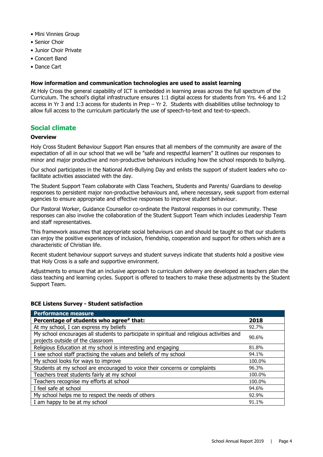- Mini Vinnies Group
- Senior Choir
- Junior Choir Private
- Concert Band
- Dance Cart

#### **How information and communication technologies are used to assist learning**

At Holy Cross the general capability of ICT is embedded in learning areas across the full spectrum of the Curriculum. The school's digital infrastructure ensures 1:1 digital access for students from Yrs. 4-6 and 1:2 access in Yr 3 and 1:3 access for students in Prep – Yr 2. Students with disabilities utilise technology to allow full access to the curriculum particularly the use of speech-to-text and text-to-speech.

#### **Social climate**

#### **Overview**

Holy Cross Student Behaviour Support Plan ensures that all members of the community are aware of the expectation of all in our school that we will be "safe and respectful learners" It outlines our responses to minor and major productive and non-productive behaviours including how the school responds to bullying.

Our school participates in the National Anti-Bullying Day and enlists the support of student leaders who cofacilitate activities associated with the day.

The Student Support Team collaborate with Class Teachers, Students and Parents/ Guardians to develop responses to persistent major non-productive behaviours and, where necessary, seek support from external agencies to ensure appropriate and effective responses to improve student behaviour.

Our Pastoral Worker, Guidance Counsellor co-ordinate the Pastoral responses in our community. These responses can also involve the collaboration of the Student Support Team which includes Leadership Team and staff representatives.

This framework assumes that appropriate social behaviours can and should be taught so that our students can enjoy the positive experiences of inclusion, friendship, cooperation and support for others which are a characteristic of Christian life.

Recent student behaviour support surveys and student surveys indicate that students hold a positive view that Holy Cross is a safe and supportive environment.

Adjustments to ensure that an inclusive approach to curriculum delivery are developed as teachers plan the class teaching and learning cycles. Support is offered to teachers to make these adjustments by the Student Support Team.

#### **BCE Listens Survey - Student satisfaction**

| <b>Performance measure</b>                                                                                                      |        |
|---------------------------------------------------------------------------------------------------------------------------------|--------|
| Percentage of students who agree* that:                                                                                         | 2018   |
| At my school, I can express my beliefs                                                                                          | 92.7%  |
| My school encourages all students to participate in spiritual and religious activities and<br>projects outside of the classroom | 90.6%  |
| Religious Education at my school is interesting and engaging                                                                    | 81.8%  |
| I see school staff practising the values and beliefs of my school                                                               | 94.1%  |
| My school looks for ways to improve                                                                                             | 100.0% |
| Students at my school are encouraged to voice their concerns or complaints                                                      | 96.3%  |
| Teachers treat students fairly at my school                                                                                     | 100.0% |
| Teachers recognise my efforts at school                                                                                         | 100.0% |
| I feel safe at school                                                                                                           | 94.6%  |
| My school helps me to respect the needs of others                                                                               | 92.9%  |
| I am happy to be at my school                                                                                                   | 91.1%  |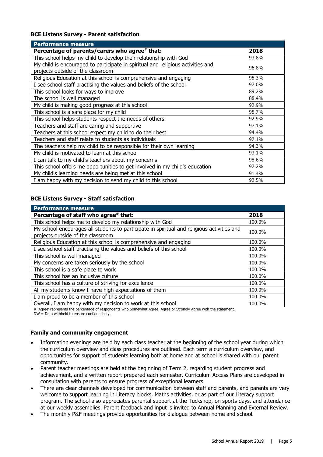#### **BCE Listens Survey - Parent satisfaction**

| <b>Performance measure</b>                                                      |       |
|---------------------------------------------------------------------------------|-------|
| Percentage of parents/carers who agree# that:                                   | 2018  |
| This school helps my child to develop their relationship with God               | 93.8% |
| My child is encouraged to participate in spiritual and religious activities and | 96.8% |
| projects outside of the classroom                                               |       |
| Religious Education at this school is comprehensive and engaging                | 95.3% |
| I see school staff practising the values and beliefs of the school              | 97.0% |
| This school looks for ways to improve                                           | 89.2% |
| The school is well managed                                                      | 88.4% |
| My child is making good progress at this school                                 | 92.9% |
| This school is a safe place for my child                                        | 95.7% |
| This school helps students respect the needs of others                          | 92.9% |
| Teachers and staff are caring and supportive                                    | 97.1% |
| Teachers at this school expect my child to do their best                        | 94.4% |
| Teachers and staff relate to students as individuals                            | 97.1% |
| The teachers help my child to be responsible for their own learning             | 94.3% |
| My child is motivated to learn at this school                                   | 93.1% |
| I can talk to my child's teachers about my concerns                             | 98.6% |
| This school offers me opportunities to get involved in my child's education     | 97.2% |
| My child's learning needs are being met at this school                          | 91.4% |
| I am happy with my decision to send my child to this school                     | 92.5% |

#### **BCE Listens Survey - Staff satisfaction**

| <b>Performance measure</b>                                                                 |        |
|--------------------------------------------------------------------------------------------|--------|
| Percentage of staff who agree# that:                                                       | 2018   |
| This school helps me to develop my relationship with God                                   | 100.0% |
| My school encourages all students to participate in spiritual and religious activities and | 100.0% |
| projects outside of the classroom                                                          |        |
| Religious Education at this school is comprehensive and engaging                           | 100.0% |
| I see school staff practising the values and beliefs of this school                        | 100.0% |
| This school is well managed                                                                | 100.0% |
| My concerns are taken seriously by the school                                              | 100.0% |
| This school is a safe place to work                                                        | 100.0% |
| This school has an inclusive culture                                                       | 100.0% |
| This school has a culture of striving for excellence                                       | 100.0% |
| All my students know I have high expectations of them                                      | 100.0% |
| I am proud to be a member of this school                                                   | 100.0% |
| Overall, I am happy with my decision to work at this school                                | 100.0% |

# 'Agree' represents the percentage of respondents who Somewhat Agree, Agree or Strongly Agree with the statement.  $DW = Data$  withheld to ensure confidentiality.

### **Family and community engagement**

- Information evenings are held by each class teacher at the beginning of the school year during which the curriculum overview and class procedures are outlined. Each term a curriculum overview, and opportunities for support of students learning both at home and at school is shared with our parent community.
- Parent teacher meetings are held at the beginning of Term 2, regarding student progress and achievement, and a written report prepared each semester. Curriculum Access Plans are developed in consultation with parents to ensure progress of exceptional learners.
- There are clear channels developed for communication between staff and parents, and parents are very welcome to support learning in Literacy blocks, Maths activities, or as part of our Literacy support program. The school also appreciates parental support at the Tuckshop, on sports days, and attendance at our weekly assemblies. Parent feedback and input is invited to Annual Planning and External Review.
- The monthly P&F meetings provide opportunities for dialogue between home and school.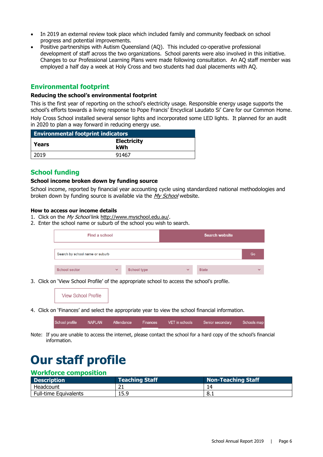- In 2019 an external review took place which included family and community feedback on school progress and potential improvements.
- Positive partnerships with Autism Queensland (AQ). This included co-operative professional development of staff across the two organizations. School parents were also involved in this initiative. Changes to our Professional Learning Plans were made following consultation. An AQ staff member was employed a half day a week at Holy Cross and two students had dual placements with AQ.

#### **Environmental footprint**

#### **Reducing the school's environmental footprint**

This is the first year of reporting on the school's electricity usage. Responsible energy usage supports the school's efforts towards a living response to Pope Francis' Encyclical Laudato Si' Care for our Common Home. Holy Cross School installed several sensor lights and incorporated some LED lights. It planned for an audit in 2020 to plan a way forward in reducing energy use.

| <b>Environmental footprint indicators</b> |                           |  |
|-------------------------------------------|---------------------------|--|
| Years                                     | <b>Electricity</b><br>kWh |  |
| 2019                                      | 91467                     |  |

#### **School funding**

#### **School income broken down by funding source**

School income, reported by financial year accounting cycle using standardized national methodologies and broken down by funding source is available via the [My School](http://www.myschool.edu.au/) website.

#### **How to access our income details**

- 1. Click on the My School link [http://www.myschool.edu.au/.](http://www.myschool.edu.au/)
- 2. Enter the school name or suburb of the school you wish to search.

| Find a school                   |              |                    |              | <b>Search website</b> |              |
|---------------------------------|--------------|--------------------|--------------|-----------------------|--------------|
| Search by school name or suburb |              |                    |              |                       | Go           |
| <b>School sector</b>            | $\checkmark$ | <b>School type</b> | $\checkmark$ | <b>State</b>          | $\checkmark$ |

3. Click on 'View School Profile' of the appropriate school to access the school's profile.



4. Click on 'Finances' and select the appropriate year to view the school financial information.

| chool profile | <b>NAPLAN</b> | Attendance Finances | VET in schools | Senior secondary | Schools map |
|---------------|---------------|---------------------|----------------|------------------|-------------|
|               |               |                     |                |                  |             |

Note: If you are unable to access the internet, please contact the school for a hard copy of the school's financial information.

### **Our staff profile**

#### **Workforce composition**

| Description                  | <b>Teaching Staff</b> | <b>Non-Teaching Staff</b> |
|------------------------------|-----------------------|---------------------------|
| Headcount                    | ∠⊥                    |                           |
| <b>Full-time Equivalents</b> | 15.9                  | ' 8.⊥                     |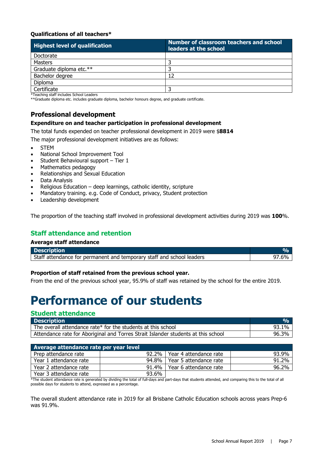#### **Qualifications of all teachers\***

| <b>Highest level of qualification</b> | Number of classroom teachers and school<br>leaders at the school |  |  |
|---------------------------------------|------------------------------------------------------------------|--|--|
| Doctorate                             |                                                                  |  |  |
| Masters                               |                                                                  |  |  |
| Graduate diploma etc.**               |                                                                  |  |  |
| Bachelor degree                       | 12                                                               |  |  |
| <b>Diploma</b>                        |                                                                  |  |  |
| Certificate                           |                                                                  |  |  |

\*Teaching staff includes School Leaders

\*\*Graduate diploma etc. includes graduate diploma, bachelor honours degree, and graduate certificate.

#### **Professional development**

#### **Expenditure on and teacher participation in professional development**

The total funds expended on teacher professional development in 2019 were \$**8814**

The major professional development initiatives are as follows:

- **STEM**
- National School Improvement Tool
- Student Behavioural support Tier 1
- Mathematics pedagogy
- Relationships and Sexual Education
- Data Analysis
- Religious Education deep learnings, catholic identity, scripture
- Mandatory training. e.g. Code of Conduct, privacy, Student protection
- Leadership development

The proportion of the teaching staff involved in professional development activities during 2019 was **100**%.

#### **Staff attendance and retention**

#### **Average staff attendance**

| <b>Description</b>                                                    |  |
|-----------------------------------------------------------------------|--|
| Staff attendance for permanent and temporary staff and school leaders |  |

#### **Proportion of staff retained from the previous school year.**

From the end of the previous school year, 95.9% of staff was retained by the school for the entire 2019.

### **Performance of our students**

#### **Student attendance**

| <b>Description</b>                                                                | O <sub>n</sub> |
|-----------------------------------------------------------------------------------|----------------|
| The overall attendance rate* for the students at this school                      | 93.1%          |
| Attendance rate for Aboriginal and Torres Strait Islander students at this school | 96.3%          |

|       | 93.9%                                                                                                                                                                                                                                                                                     |
|-------|-------------------------------------------------------------------------------------------------------------------------------------------------------------------------------------------------------------------------------------------------------------------------------------------|
|       | 91.2%                                                                                                                                                                                                                                                                                     |
|       | 96.2%                                                                                                                                                                                                                                                                                     |
| 93.6% |                                                                                                                                                                                                                                                                                           |
|       | 92.2%   Year 4 attendance rate<br>94.8%   Year 5 attendance rate<br>91.4%   Year 6 attendance rate<br>$\star$ . The concluded series where the concentration of the contracted series and series and series and series and series and series and $\epsilon$ and $\epsilon$ and $\epsilon$ |

The student attendance rate is generated by dividing the total of full-days and part-days that students attended, and comparing this to the total of all possible days for students to attend, expressed as a percentage.

The overall student attendance rate in 2019 for all Brisbane Catholic Education schools across years Prep-6 was 91.9%.